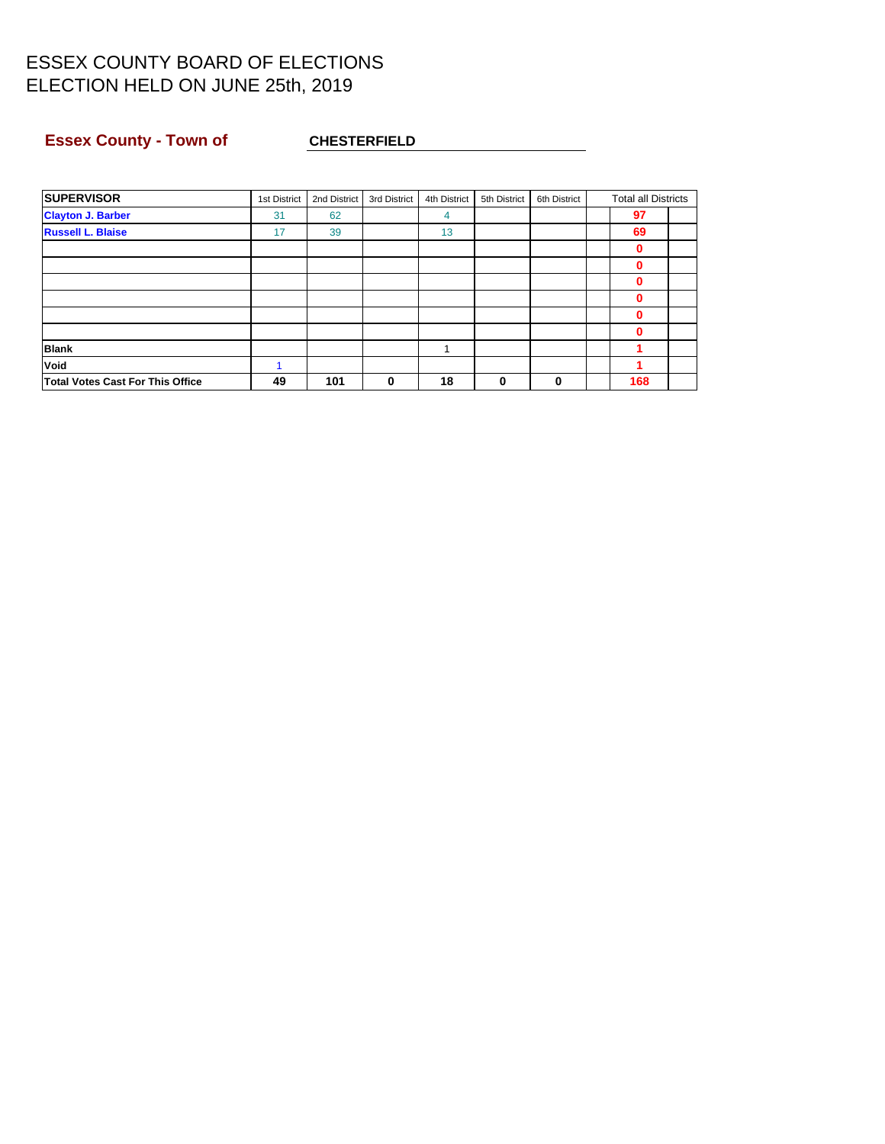### **Essex County - Town of CHESTERFIELD**

| <b>SUPERVISOR</b>                | 1st District | 2nd District | 3rd District | 4th District | 5th District | 6th District | <b>Total all Districts</b> |  |
|----------------------------------|--------------|--------------|--------------|--------------|--------------|--------------|----------------------------|--|
| <b>Clayton J. Barber</b>         | 31           | 62           |              | 4            |              |              | 97                         |  |
| <b>Russell L. Blaise</b>         | 17           | 39           |              | 13           |              |              | 69                         |  |
|                                  |              |              |              |              |              |              | 0                          |  |
|                                  |              |              |              |              |              |              | 0                          |  |
|                                  |              |              |              |              |              |              | 0                          |  |
|                                  |              |              |              |              |              |              | 0                          |  |
|                                  |              |              |              |              |              |              | 0                          |  |
|                                  |              |              |              |              |              |              | 0                          |  |
| <b>Blank</b>                     |              |              |              |              |              |              |                            |  |
| Void                             |              |              |              |              |              |              |                            |  |
| Total Votes Cast For This Office | 49           | 101          | 0            | 18           | 0            | 0            | 168                        |  |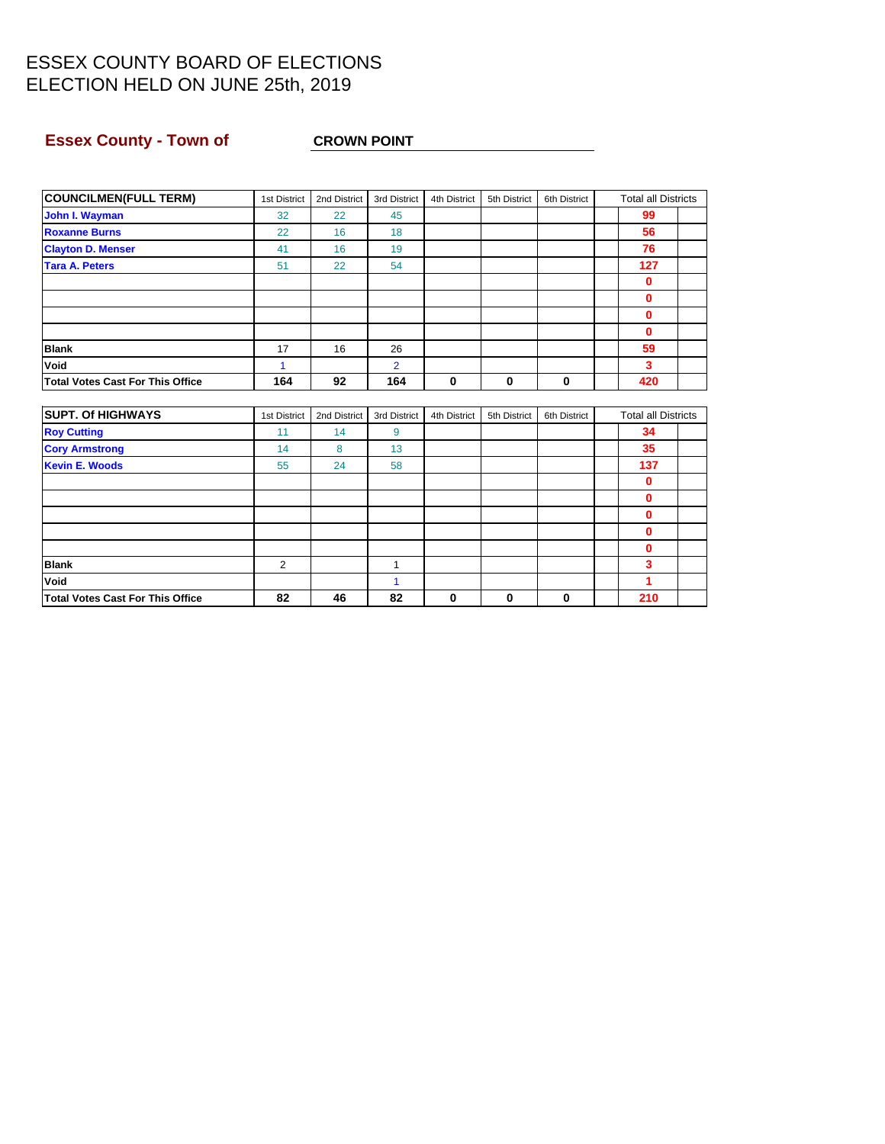### **Essex County - Town of CROWN POINT**

| <b>COUNCILMEN(FULL TERM)</b>            | 1st District | 2nd District | 3rd District   | 4th District | 5th District | 6th District | <b>Total all Districts</b> |  |
|-----------------------------------------|--------------|--------------|----------------|--------------|--------------|--------------|----------------------------|--|
| John I. Wayman                          | 32           | 22           | 45             |              |              |              | 99                         |  |
| <b>Roxanne Burns</b>                    | 22           | 16           | 18             |              |              |              | 56                         |  |
| <b>Clayton D. Menser</b>                | 41           | 16           | 19             |              |              |              | 76                         |  |
| <b>Tara A. Peters</b>                   | 51           | 22           | 54             |              |              |              | 127                        |  |
|                                         |              |              |                |              |              |              | $\mathbf 0$                |  |
|                                         |              |              |                |              |              |              | $\mathbf{0}$               |  |
|                                         |              |              |                |              |              |              | $\mathbf{0}$               |  |
|                                         |              |              |                |              |              |              | $\mathbf 0$                |  |
| <b>Blank</b>                            | 17           | 16           | 26             |              |              |              | 59                         |  |
| Void                                    | 1            |              | $\overline{2}$ |              |              |              | 3                          |  |
| <b>Total Votes Cast For This Office</b> | 164          | 92           | 164            | 0            | $\mathbf 0$  | $\mathbf 0$  | 420                        |  |
|                                         |              |              |                |              |              |              |                            |  |
| <b>SUPT. Of HIGHWAYS</b>                | 1st District | 2nd District | 3rd District   | 4th District | 5th District | 6th District | <b>Total all Districts</b> |  |
| <b>Roy Cutting</b>                      | 11           | 14           | 9              |              |              |              | 34                         |  |
| <b>Cory Armstrong</b>                   | 14           | 8            | 13             |              |              |              | 35                         |  |
| <b>Kevin E. Woods</b>                   | 55           | 24           | 58             |              |              |              | 137                        |  |
|                                         |              |              |                |              |              |              | $\mathbf{0}$               |  |
|                                         |              |              |                |              |              |              | $\mathbf 0$                |  |
|                                         |              |              |                |              |              |              | $\mathbf{0}$               |  |
|                                         |              |              |                |              |              |              | $\mathbf{0}$               |  |
|                                         |              |              |                |              |              |              | $\mathbf{0}$               |  |
| <b>Blank</b>                            | 2            |              | $\mathbf{1}$   |              |              |              | 3                          |  |
| Void                                    |              |              | $\mathbf{1}$   |              |              |              | 1                          |  |

**Total Votes Cast For This Office 82 46 82 0 0 0 210**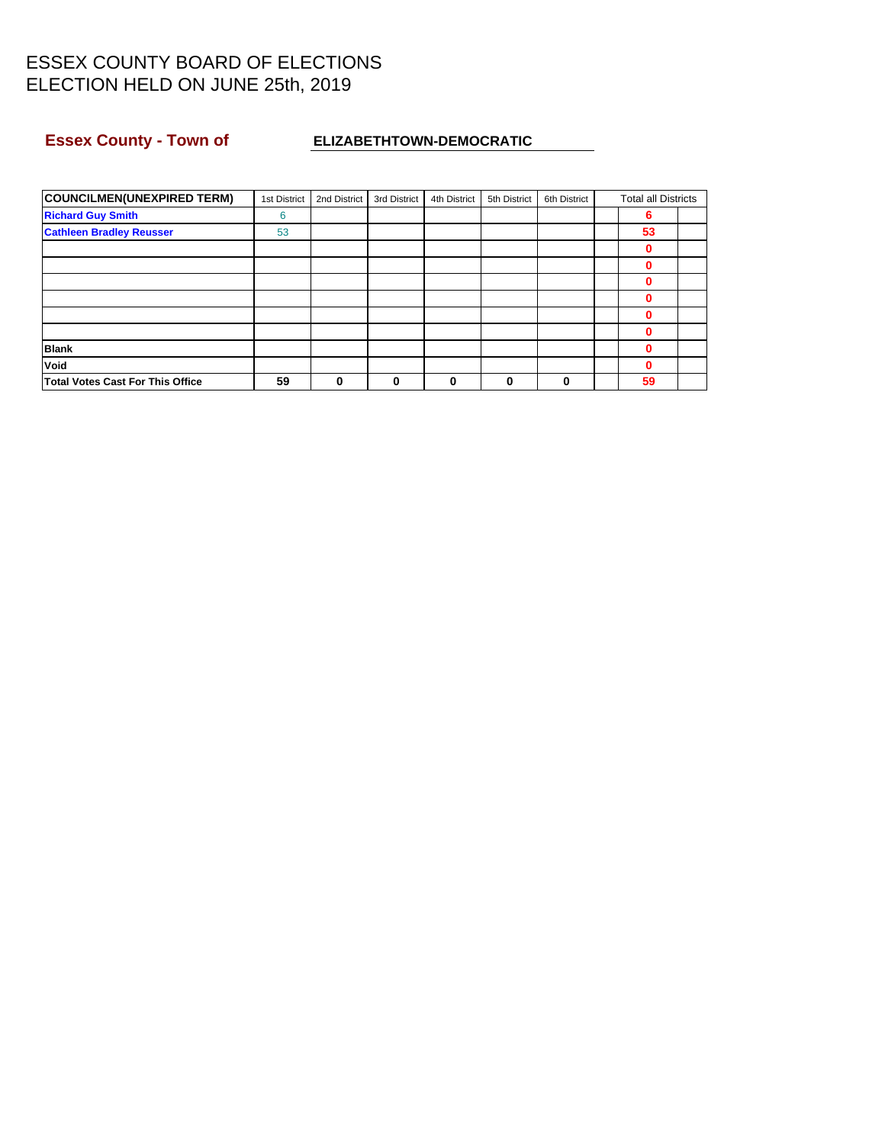### **ESSEX County - Town of ELIZABETHTOWN-DEMOCRATIC**

| <b>COUNCILMEN(UNEXPIRED TERM)</b>       | 1st District | 2nd District | 3rd District | 4th District | 5th District | 6th District | <b>Total all Districts</b> |  |
|-----------------------------------------|--------------|--------------|--------------|--------------|--------------|--------------|----------------------------|--|
| <b>Richard Guy Smith</b>                | 6            |              |              |              |              |              | 6                          |  |
| <b>Cathleen Bradley Reusser</b>         | 53           |              |              |              |              |              | 53                         |  |
|                                         |              |              |              |              |              |              | 0                          |  |
|                                         |              |              |              |              |              |              | 0                          |  |
|                                         |              |              |              |              |              |              | 0                          |  |
|                                         |              |              |              |              |              |              | 0                          |  |
|                                         |              |              |              |              |              |              | $\bf{0}$                   |  |
|                                         |              |              |              |              |              |              | 0                          |  |
| <b>Blank</b>                            |              |              |              |              |              |              | 0                          |  |
| Void                                    |              |              |              |              |              |              | 0                          |  |
| <b>Total Votes Cast For This Office</b> | 59           | 0            | 0            | 0            | 0            | $\Omega$     | 59                         |  |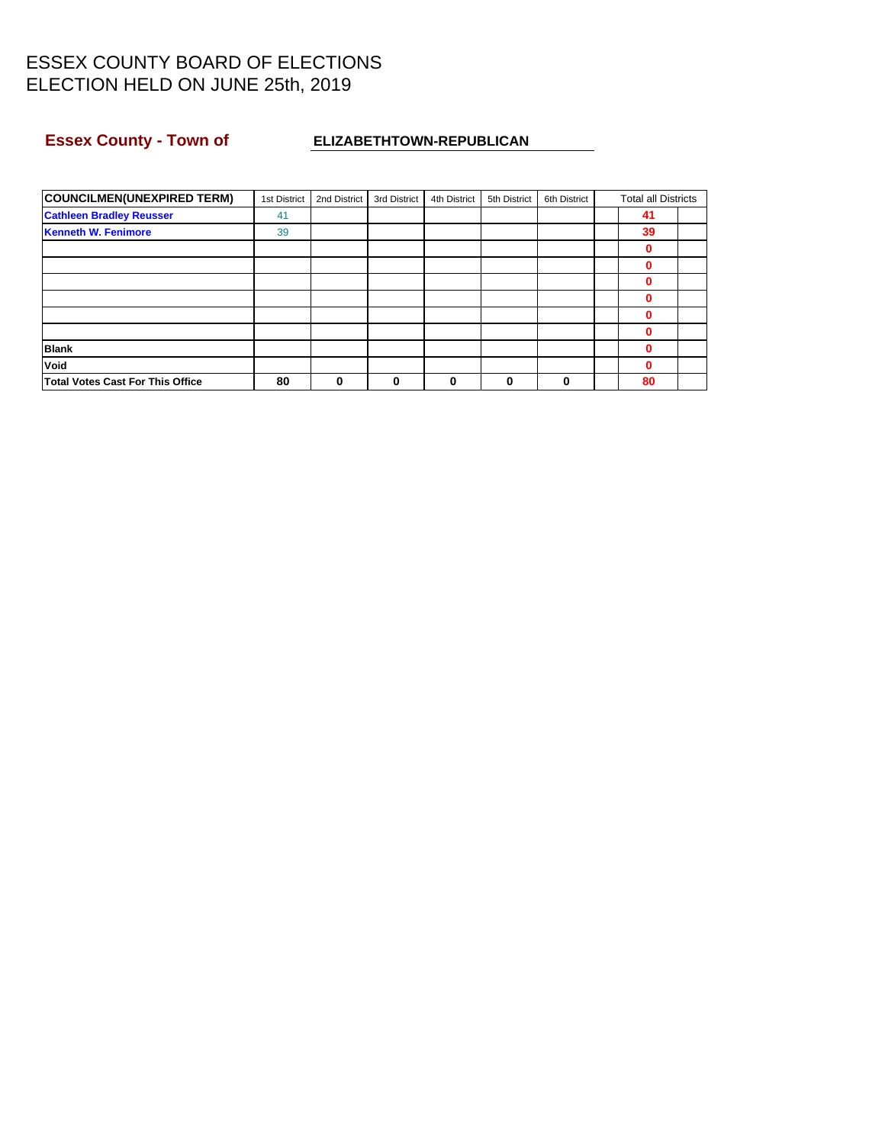### Essex County - Town of **ELIZABETHTOWN-REPUBLICAN**

| <b>COUNCILMEN(UNEXPIRED TERM)</b>       | 1st District | 2nd District | 3rd District | 4th District | 5th District | 6th District | <b>Total all Districts</b> |  |
|-----------------------------------------|--------------|--------------|--------------|--------------|--------------|--------------|----------------------------|--|
| <b>Cathleen Bradley Reusser</b>         | 41           |              |              |              |              |              | 41                         |  |
| <b>Kenneth W. Fenimore</b>              | 39           |              |              |              |              |              | 39                         |  |
|                                         |              |              |              |              |              |              | 0                          |  |
|                                         |              |              |              |              |              |              | 0                          |  |
|                                         |              |              |              |              |              |              | 0                          |  |
|                                         |              |              |              |              |              |              | 0                          |  |
|                                         |              |              |              |              |              |              | 0                          |  |
|                                         |              |              |              |              |              |              | 0                          |  |
| <b>Blank</b>                            |              |              |              |              |              |              | 0                          |  |
| Void                                    |              |              |              |              |              |              | $\bf{0}$                   |  |
| <b>Total Votes Cast For This Office</b> | 80           | $\bf{0}$     | 0            | 0            | 0            | 0            | 80                         |  |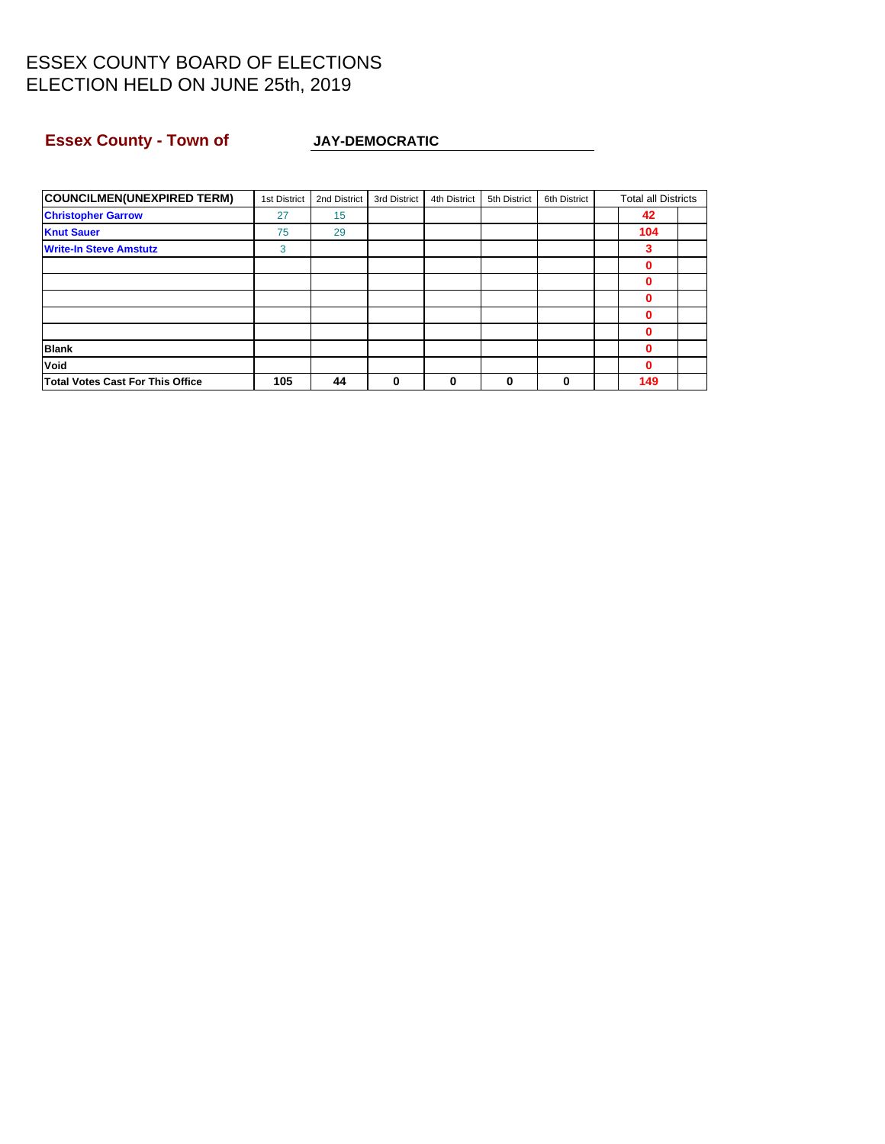### **Essex County - Town of JAY-DEMOCRATIC**

| <b>COUNCILMEN(UNEXPIRED TERM)</b>       | 1st District | 2nd District | 3rd District | 4th District | 5th District | 6th District | <b>Total all Districts</b> |  |
|-----------------------------------------|--------------|--------------|--------------|--------------|--------------|--------------|----------------------------|--|
| <b>Christopher Garrow</b>               | 27           | 15           |              |              |              |              | 42                         |  |
| <b>Knut Sauer</b>                       | 75           | 29           |              |              |              |              | 104                        |  |
| <b>Write-In Steve Amstutz</b>           | 3            |              |              |              |              |              | 3                          |  |
|                                         |              |              |              |              |              |              | 0                          |  |
|                                         |              |              |              |              |              |              | $\bf{0}$                   |  |
|                                         |              |              |              |              |              |              | 0                          |  |
|                                         |              |              |              |              |              |              | 0                          |  |
|                                         |              |              |              |              |              |              | 0                          |  |
| <b>Blank</b>                            |              |              |              |              |              |              | 0                          |  |
| Void                                    |              |              |              |              |              |              | $\bf{0}$                   |  |
| <b>Total Votes Cast For This Office</b> | 105          | 44           | 0            | 0            | 0            | 0            | 149                        |  |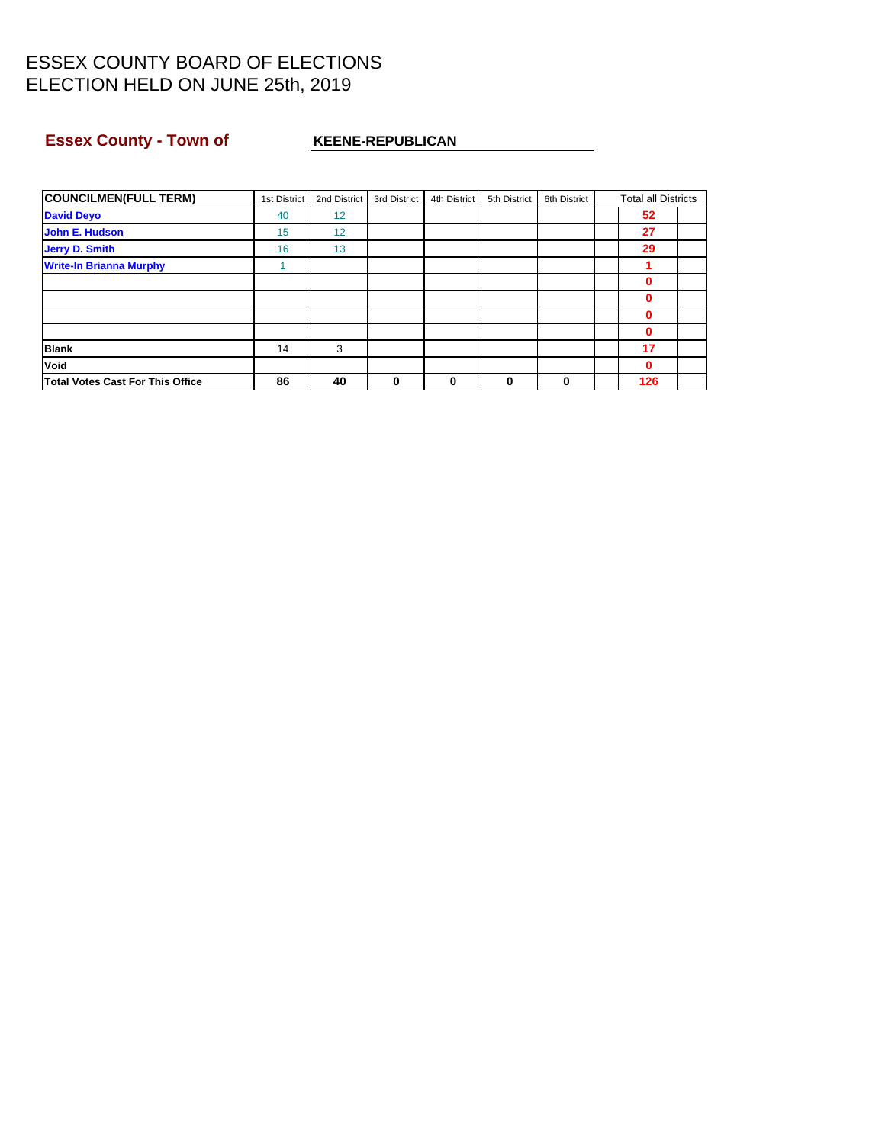### **Essex County - Town of KEENE-REPUBLICAN**

| <b>COUNCILMEN(FULL TERM)</b>            | 1st District | 2nd District | 3rd District | 4th District | 5th District | 6th District | <b>Total all Districts</b> |  |
|-----------------------------------------|--------------|--------------|--------------|--------------|--------------|--------------|----------------------------|--|
| <b>David Deyo</b>                       | 40           | 12           |              |              |              |              | 52                         |  |
| John E. Hudson                          | 15           | 12           |              |              |              |              | 27                         |  |
| <b>Jerry D. Smith</b>                   | 16           | 13           |              |              |              |              | 29                         |  |
| <b>Write-In Brianna Murphy</b>          |              |              |              |              |              |              |                            |  |
|                                         |              |              |              |              |              |              | 0                          |  |
|                                         |              |              |              |              |              |              | 0                          |  |
|                                         |              |              |              |              |              |              | 0                          |  |
|                                         |              |              |              |              |              |              | 0                          |  |
| <b>Blank</b>                            | 14           | 3            |              |              |              |              | 17                         |  |
| Void                                    |              |              |              |              |              |              | 0                          |  |
| <b>Total Votes Cast For This Office</b> | 86           | 40           | 0            | 0            | 0            | 0            | 126                        |  |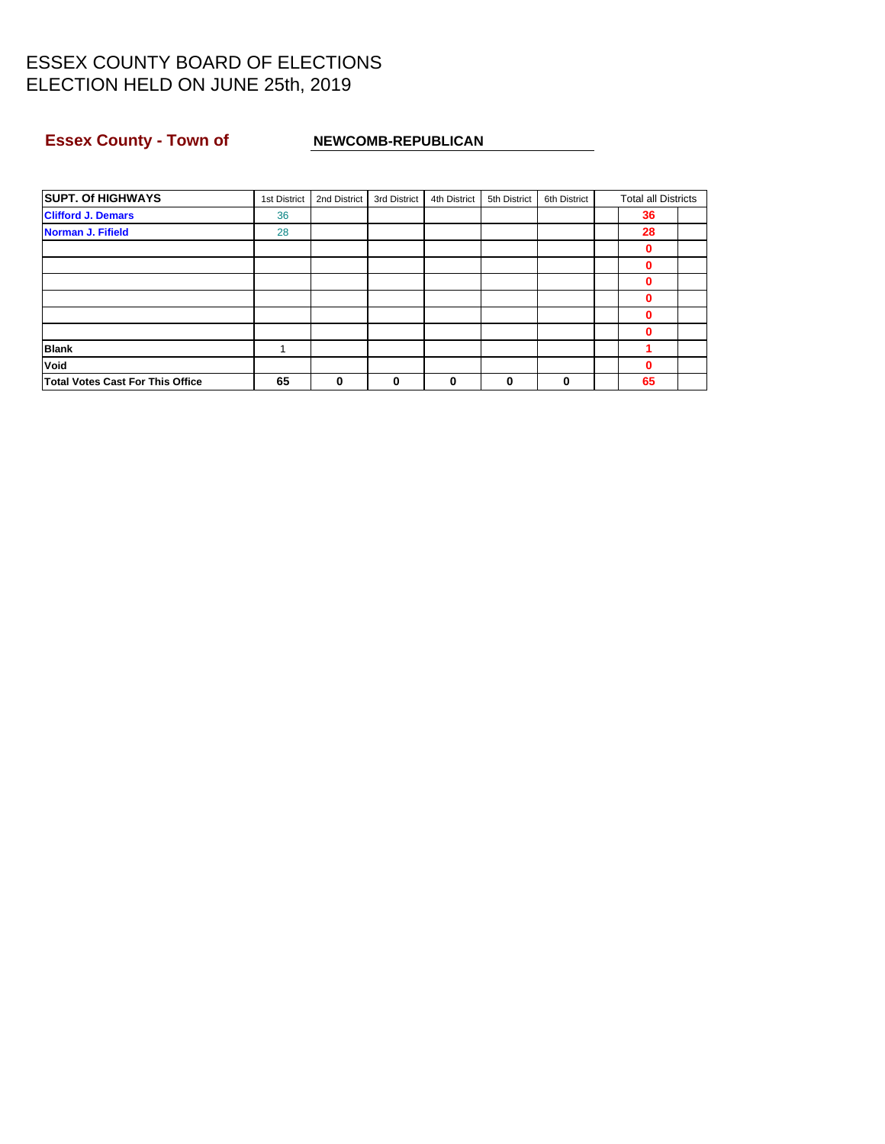### **Essex County - Town of NEWCOMB-REPUBLICAN**

| <b>SUPT. Of HIGHWAYS</b>         | 1st District | 2nd District | 3rd District | 4th District | 5th District | 6th District | <b>Total all Districts</b> |  |
|----------------------------------|--------------|--------------|--------------|--------------|--------------|--------------|----------------------------|--|
| <b>Clifford J. Demars</b>        | 36           |              |              |              |              |              | 36                         |  |
| <b>Norman J. Fifield</b>         | 28           |              |              |              |              |              | 28                         |  |
|                                  |              |              |              |              |              |              | 0                          |  |
|                                  |              |              |              |              |              |              | 0                          |  |
|                                  |              |              |              |              |              |              | 0                          |  |
|                                  |              |              |              |              |              |              | 0                          |  |
|                                  |              |              |              |              |              |              | 0                          |  |
|                                  |              |              |              |              |              |              | 0                          |  |
| <b>Blank</b>                     |              |              |              |              |              |              |                            |  |
| Void                             |              |              |              |              |              |              | 0                          |  |
| Total Votes Cast For This Office | 65           | 0            | 0            | 0            | 0            | 0            | 65                         |  |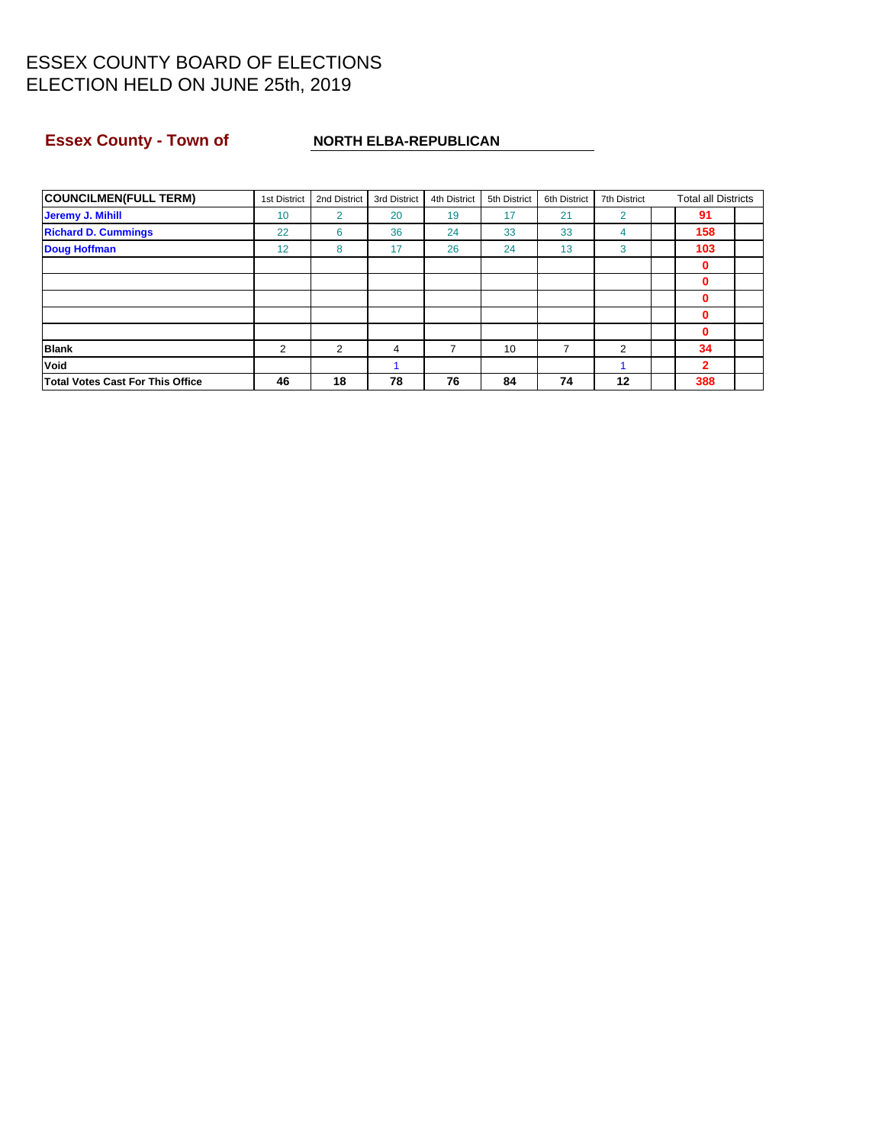### **Essex County - Town of NORTH ELBA-REPUBLICAN**

| <b>COUNCILMEN(FULL TERM)</b>            | 1st District | 2nd District   | 3rd District | 4th District | 5th District | 6th District | 7th District   | <b>Total all Districts</b> |  |
|-----------------------------------------|--------------|----------------|--------------|--------------|--------------|--------------|----------------|----------------------------|--|
| Jeremy J. Mihill                        | 10           | $\overline{2}$ | 20           | 19           | 17           | 21           | $\overline{2}$ | 91                         |  |
| <b>Richard D. Cummings</b>              | 22           | 6              | 36           | 24           | 33           | 33           | 4              | 158                        |  |
| <b>Doug Hoffman</b>                     | 12           | 8              | 17           | 26           | 24           | 13           | 3              | 103                        |  |
|                                         |              |                |              |              |              |              |                | 0                          |  |
|                                         |              |                |              |              |              |              |                | 0                          |  |
|                                         |              |                |              |              |              |              |                | 0                          |  |
|                                         |              |                |              |              |              |              |                | 0                          |  |
|                                         |              |                |              |              |              |              |                | 0                          |  |
| <b>Blank</b>                            | 2            | 2              | 4            |              | 10           | 7            | 2              | 34                         |  |
| <b>Void</b>                             |              |                |              |              |              |              |                | 2                          |  |
| <b>Total Votes Cast For This Office</b> | 46           | 18             | 78           | 76           | 84           | 74           | 12             | 388                        |  |